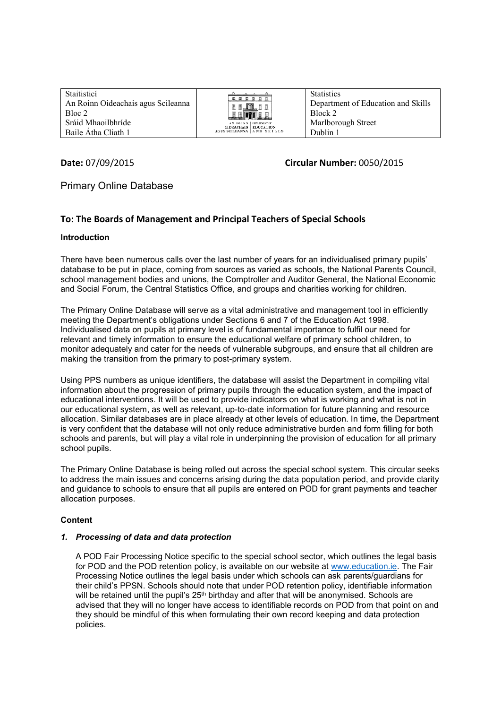Staitisticí An Roinn Oideachais agus Scileanna Bloc 2 Sráid Mhaoilbhríde Baile Átha Cliath 1



**Statistics** Department of Education and Skills Block 2 Marlborough Street Dublin 1

# **Date:** 07/09/2015 **Circular Number:** 0050/2015

# Primary Online Database

# **To: The Boards of Management and Principal Teachers of Special Schools**

### **Introduction**

There have been numerous calls over the last number of years for an individualised primary pupils' database to be put in place, coming from sources as varied as schools, the National Parents Council, school management bodies and unions, the Comptroller and Auditor General, the National Economic and Social Forum, the Central Statistics Office, and groups and charities working for children.

The Primary Online Database will serve as a vital administrative and management tool in efficiently meeting the Department's obligations under Sections 6 and 7 of the Education Act 1998. Individualised data on pupils at primary level is of fundamental importance to fulfil our need for relevant and timely information to ensure the educational welfare of primary school children, to monitor adequately and cater for the needs of vulnerable subgroups, and ensure that all children are making the transition from the primary to post-primary system.

Using PPS numbers as unique identifiers, the database will assist the Department in compiling vital information about the progression of primary pupils through the education system, and the impact of educational interventions. It will be used to provide indicators on what is working and what is not in our educational system, as well as relevant, up-to-date information for future planning and resource allocation. Similar databases are in place already at other levels of education. In time, the Department is very confident that the database will not only reduce administrative burden and form filling for both schools and parents, but will play a vital role in underpinning the provision of education for all primary school pupils.

The Primary Online Database is being rolled out across the special school system. This circular seeks to address the main issues and concerns arising during the data population period, and provide clarity and guidance to schools to ensure that all pupils are entered on POD for grant payments and teacher allocation purposes.

### **Content**

#### *1. Processing of data and data protection*

A POD Fair Processing Notice specific to the special school sector, which outlines the legal basis for POD and the POD retention policy, is available on our website at [www.education.ie.](http://www.education.ie/) The Fair Processing Notice outlines the legal basis under which schools can ask parents/guardians for their child's PPSN. Schools should note that under POD retention policy, identifiable information will be retained until the pupil's 25<sup>th</sup> birthday and after that will be anonymised. Schools are advised that they will no longer have access to identifiable records on POD from that point on and they should be mindful of this when formulating their own record keeping and data protection policies.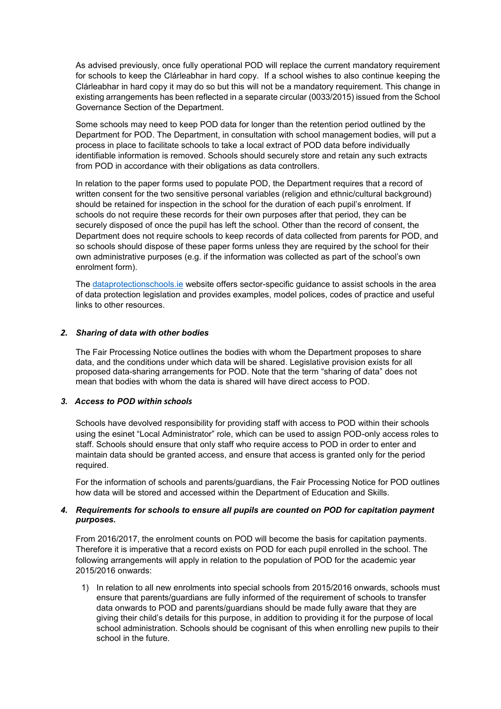As advised previously, once fully operational POD will replace the current mandatory requirement for schools to keep the Clárleabhar in hard copy. If a school wishes to also continue keeping the Clárleabhar in hard copy it may do so but this will not be a mandatory requirement. This change in existing arrangements has been reflected in a separate circular (0033/2015) issued from the School Governance Section of the Department.

Some schools may need to keep POD data for longer than the retention period outlined by the Department for POD. The Department, in consultation with school management bodies, will put a process in place to facilitate schools to take a local extract of POD data before individually identifiable information is removed. Schools should securely store and retain any such extracts from POD in accordance with their obligations as data controllers.

In relation to the paper forms used to populate POD, the Department requires that a record of written consent for the two sensitive personal variables (religion and ethnic/cultural background) should be retained for inspection in the school for the duration of each pupil's enrolment. If schools do not require these records for their own purposes after that period, they can be securely disposed of once the pupil has left the school. Other than the record of consent, the Department does not require schools to keep records of data collected from parents for POD, and so schools should dispose of these paper forms unless they are required by the school for their own administrative purposes (e.g. if the information was collected as part of the school's own enrolment form).

The [dataprotectionschools.ie](file://sdubfile2012/Dublin/Primary%20Online%20Database/POD/Project%20management/Documents%20for%20website/Fair%20Processing%20Notice%20and%20POD%20Circular/www.dataprotectionschools.ie%20) website offers sector-specific guidance to assist schools in the area of data protection legislation and provides examples, model polices, codes of practice and useful links to other resources.

#### *2. Sharing of data with other bodies*

The Fair Processing Notice outlines the bodies with whom the Department proposes to share data, and the conditions under which data will be shared. Legislative provision exists for all proposed data-sharing arrangements for POD. Note that the term "sharing of data" does not mean that bodies with whom the data is shared will have direct access to POD.

#### *3. Access to POD within schools*

Schools have devolved responsibility for providing staff with access to POD within their schools using the esinet "Local Administrator" role, which can be used to assign POD-only access roles to staff. Schools should ensure that only staff who require access to POD in order to enter and maintain data should be granted access, and ensure that access is granted only for the period required.

For the information of schools and parents/guardians, the Fair Processing Notice for POD outlines how data will be stored and accessed within the Department of Education and Skills.

#### *4. Requirements for schools to ensure all pupils are counted on POD for capitation payment purposes.*

From 2016/2017, the enrolment counts on POD will become the basis for capitation payments. Therefore it is imperative that a record exists on POD for each pupil enrolled in the school. The following arrangements will apply in relation to the population of POD for the academic year 2015/2016 onwards:

1) In relation to all new enrolments into special schools from 2015/2016 onwards, schools must ensure that parents/guardians are fully informed of the requirement of schools to transfer data onwards to POD and parents/guardians should be made fully aware that they are giving their child's details for this purpose, in addition to providing it for the purpose of local school administration. Schools should be cognisant of this when enrolling new pupils to their school in the future.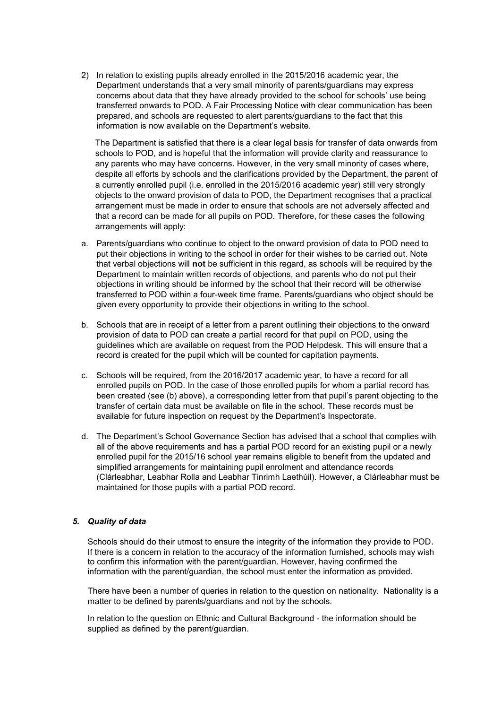2) In relation to existing pupils already enrolled in the 2015/2016 academic year, the Department understands that a very small minority of parents/guardians may express concerns about data that they have already provided to the school for schools' use being transferred onwards to POD. A Fair Processing Notice with clear communication has been prepared, and schools are requested to alert parents/guardians to the fact that this information is now available on the Department's website.

The Department is satisfied that there is a clear legal basis for transfer of data onwards from schools to POD, and is hopeful that the information will provide clarity and reassurance to any parents who may have concerns. However, in the very small minority of cases where, despite all efforts by schools and the clarifications provided by the Department, the parent of a currently enrolled pupil (i.e. enrolled in the 2015/2016 academic year) still very strongly objects to the onward provision of data to POD, the Department recognises that a practical arrangement must be made in order to ensure that schools are not adversely affected and that a record can be made for all pupils on POD. Therefore, for these cases the following arrangements will apply:

- a. Parents/guardians who continue to object to the onward provision of data to POD need to put their objections in writing to the school in order for their wishes to be carried out. Note that verbal objections will **not** be sufficient in this regard, as schools will be required by the Department to maintain written records of objections, and parents who do not put their objections in writing should be informed by the school that their record will be otherwise transferred to POD within a four-week time frame. Parents/guardians who object should be given every opportunity to provide their objections in writing to the school.
- b. Schools that are in receipt of a letter from a parent outlining their objections to the onward provision of data to POD can create a partial record for that pupil on POD, using the guidelines which are available on request from the POD Helpdesk. This will ensure that a record is created for the pupil which will be counted for capitation payments.
- c. Schools will be required, from the 2016/2017 academic year, to have a record for all enrolled pupils on POD. In the case of those enrolled pupils for whom a partial record has been created (see (b) above), a corresponding letter from that pupil's parent objecting to the transfer of certain data must be available on file in the school. These records must be available for future inspection on request by the Department's Inspectorate.
- d. The Department's School Governance Section has advised that a school that complies with all of the above requirements and has a partial POD record for an existing pupil or a newly enrolled pupil for the 2015/16 school year remains eligible to benefit from the updated and simplified arrangements for maintaining pupil enrolment and attendance records (Clárleabhar, Leabhar Rolla and Leabhar Tinrimh Laethúil). However, a Clárleabhar must be maintained for those pupils with a partial POD record.

### *5. Quality of data*

Schools should do their utmost to ensure the integrity of the information they provide to POD. If there is a concern in relation to the accuracy of the information furnished, schools may wish to confirm this information with the parent/guardian. However, having confirmed the information with the parent/guardian, the school must enter the information as provided.

There have been a number of queries in relation to the question on nationality. Nationality is a matter to be defined by parents/guardians and not by the schools.

In relation to the question on Ethnic and Cultural Background - the information should be supplied as defined by the parent/quardian.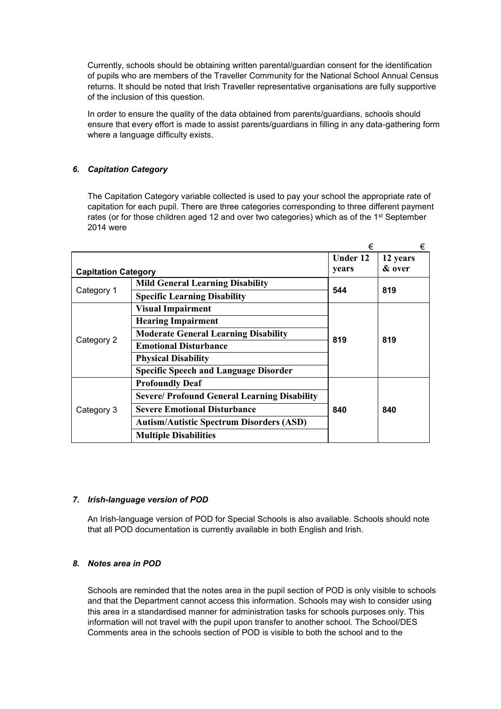Currently, schools should be obtaining written parental/guardian consent for the identification of pupils who are members of the Traveller Community for the National School Annual Census returns. It should be noted that Irish Traveller representative organisations are fully supportive of the inclusion of this question.

In order to ensure the quality of the data obtained from parents/guardians, schools should ensure that every effort is made to assist parents/guardians in filling in any data-gathering form where a language difficulty exists.

## *6. Capitation Category*

The Capitation Category variable collected is used to pay your school the appropriate rate of capitation for each pupil. There are three categories corresponding to three different payment rates (or for those children aged 12 and over two categories) which as of the 1st September 2014 were

|                            |                                                     | €               | €        |
|----------------------------|-----------------------------------------------------|-----------------|----------|
|                            |                                                     | <b>Under 12</b> | 12 years |
| <b>Capitation Category</b> |                                                     | years           | & over   |
| Category 1                 | <b>Mild General Learning Disability</b>             | 544             | 819      |
|                            | <b>Specific Learning Disability</b>                 |                 |          |
| Category 2                 | <b>Visual Impairment</b>                            | 819             | 819      |
|                            | <b>Hearing Impairment</b>                           |                 |          |
|                            | <b>Moderate General Learning Disability</b>         |                 |          |
|                            | <b>Emotional Disturbance</b>                        |                 |          |
|                            | <b>Physical Disability</b>                          |                 |          |
|                            | <b>Specific Speech and Language Disorder</b>        |                 |          |
| Category 3                 | <b>Profoundly Deaf</b>                              | 840             | 840      |
|                            | <b>Severe/ Profound General Learning Disability</b> |                 |          |
|                            | <b>Severe Emotional Disturbance</b>                 |                 |          |
|                            | <b>Autism/Autistic Spectrum Disorders (ASD)</b>     |                 |          |
|                            | <b>Multiple Disabilities</b>                        |                 |          |

### *7. Irish-language version of POD*

An Irish-language version of POD for Special Schools is also available. Schools should note that all POD documentation is currently available in both English and Irish.

### *8. Notes area in POD*

Schools are reminded that the notes area in the pupil section of POD is only visible to schools and that the Department cannot access this information. Schools may wish to consider using this area in a standardised manner for administration tasks for schools purposes only. This information will not travel with the pupil upon transfer to another school. The School/DES Comments area in the schools section of POD is visible to both the school and to the